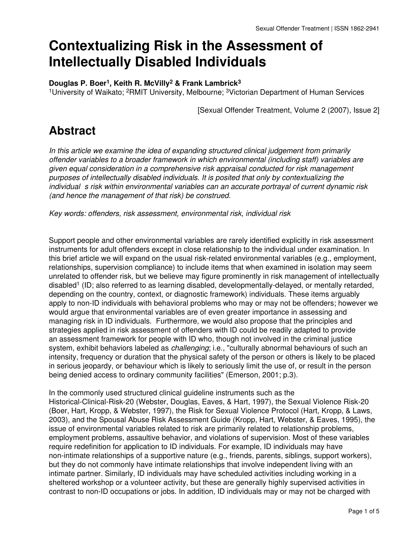# **Contextualizing Risk in the Assessment of Intellectually Disabled Individuals**

#### **Douglas P. Boer1, Keith R. McVilly2 & Frank Lambrick<sup>3</sup>**

<sup>1</sup>University of Waikato; <sup>2</sup>RMIT University, Melbourne; <sup>3</sup>Victorian Department of Human Services

[Sexual Offender Treatment, Volume 2 (2007), Issue 2]

## **Abstract**

*In this article we examine the idea of expanding structured clinical judgement from primarily offender variables to a broader framework in which environmental (including staff) variables are given equal consideration in a comprehensive risk appraisal conducted for risk management purposes of intellectually disabled individuals. It is posited that only by contextualizing the individual s risk within environmental variables can an accurate portrayal of current dynamic risk (and hence the management of that risk) be construed.*

*Key words: offenders, risk assessment, environmental risk, individual risk*

Support people and other environmental variables are rarely identified explicitly in risk assessment instruments for adult offenders except in close relationship to the individual under examination. In this brief article we will expand on the usual risk-related environmental variables (e.g., employment, relationships, supervision compliance) to include items that when examined in isolation may seem unrelated to offender risk, but we believe may figure prominently in risk management of intellectually disabled1 (ID; also referred to as learning disabled, developmentally-delayed, or mentally retarded, depending on the country, context, or diagnostic framework) individuals. These items arguably apply to non-ID individuals with behavioral problems who may or may not be offenders; however we would argue that environmental variables are of even greater importance in assessing and managing risk in ID individuals. Furthermore, we would also propose that the principles and strategies applied in risk assessment of offenders with ID could be readily adapted to provide an assessment framework for people with ID who, though not involved in the criminal justice system, exhibit behaviors labeled as *challenging*; i.e., "culturally abnormal behaviours of such an intensity, frequency or duration that the physical safety of the person or others is likely to be placed in serious jeopardy, or behaviour which is likely to seriously limit the use of, or result in the person being denied access to ordinary community facilities" (Emerson, 2001; p.3).

In the commonly used structured clinical guideline instruments such as the Historical-Clinical-Risk-20 (Webster, Douglas, Eaves, & Hart, 1997), the Sexual Violence Risk-20 (Boer, Hart, Kropp, & Webster, 1997), the Risk for Sexual Violence Protocol (Hart, Kropp, & Laws, 2003), and the Spousal Abuse Risk Assessment Guide (Kropp, Hart, Webster, & Eaves, 1995), the issue of environmental variables related to risk are primarily related to relationship problems, employment problems, assaultive behavior, and violations of supervision. Most of these variables require redefinition for application to ID individuals. For example, ID individuals may have non-intimate relationships of a supportive nature (e.g., friends, parents, siblings, support workers), but they do not commonly have intimate relationships that involve independent living with an intimate partner. Similarly, ID individuals may have scheduled activities including working in a sheltered workshop or a volunteer activity, but these are generally highly supervised activities in contrast to non-ID occupations or jobs. In addition, ID individuals may or may not be charged with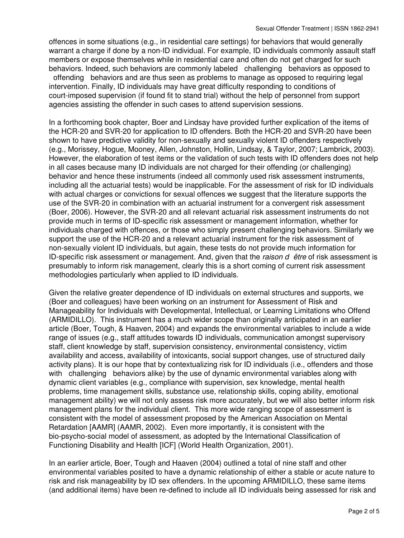offences in some situations (e.g., in residential care settings) for behaviors that would generally warrant a charge if done by a non-ID individual. For example, ID individuals commonly assault staff members or expose themselves while in residential care and often do not get charged for such behaviors. Indeed, such behaviors are commonly labeled challenging behaviors as opposed to offending behaviors and are thus seen as problems to manage as opposed to requiring legal intervention. Finally, ID individuals may have great difficulty responding to conditions of court-imposed supervision (if found fit to stand trial) without the help of personnel from support agencies assisting the offender in such cases to attend supervision sessions.

In a forthcoming book chapter, Boer and Lindsay have provided further explication of the items of the HCR-20 and SVR-20 for application to ID offenders. Both the HCR-20 and SVR-20 have been shown to have predictive validity for non-sexually and sexually violent ID offenders respectively (e.g., Morissey, Hogue, Mooney, Allen, Johnston, Hollin, Lindsay, & Taylor, 2007; Lambrick, 2003). However, the elaboration of test items or the validation of such tests with ID offenders does not help in all cases because many ID individuals are not charged for their offending (or challenging) behavior and hence these instruments (indeed all commonly used risk assessment instruments, including all the actuarial tests) would be inapplicable. For the assessment of risk for ID individuals with actual charges or convictions for sexual offences we suggest that the literature supports the use of the SVR-20 in combination with an actuarial instrument for a convergent risk assessment (Boer, 2006). However, the SVR-20 and all relevant actuarial risk assessment instruments do not provide much in terms of ID-specific risk assessment or management information, whether for individuals charged with offences, or those who simply present challenging behaviors. Similarly we support the use of the HCR-20 and a relevant actuarial instrument for the risk assessment of non-sexually violent ID individuals, but again, these tests do not provide much information for ID-specific risk assessment or management. And, given that the *raison d* être of risk assessment is presumably to inform risk management, clearly this is a short coming of current risk assessment methodologies particularly when applied to ID individuals.

Given the relative greater dependence of ID individuals on external structures and supports, we (Boer and colleagues) have been working on an instrument for Assessment of Risk and Manageability for Individuals with Developmental, Intellectual, or Learning Limitations who Offend (ARMIDILLO). This instrument has a much wider scope than originally anticipated in an earlier article (Boer, Tough, & Haaven, 2004) and expands the environmental variables to include a wide range of issues (e.g., staff attitudes towards ID individuals, communication amongst supervisory staff, client knowledge by staff, supervision consistency, environmental consistency, victim availability and access, availability of intoxicants, social support changes, use of structured daily activity plans). It is our hope that by contextualizing risk for ID individuals (i.e., offenders and those with challenging behaviors alike) by the use of dynamic environmental variables along with dynamic client variables (e.g., compliance with supervision, sex knowledge, mental health problems, time management skills, substance use, relationship skills, coping ability, emotional management ability) we will not only assess risk more accurately, but we will also better inform risk management plans for the individual client. This more wide ranging scope of assessment is consistent with the model of assessment proposed by the American Association on Mental Retardation [AAMR] (AAMR, 2002). Even more importantly, it is consistent with the bio-psycho-social model of assessment, as adopted by the International Classification of Functioning Disability and Health [ICF] (World Health Organization, 2001).

In an earlier article, Boer, Tough and Haaven (2004) outlined a total of nine staff and other environmental variables posited to have a dynamic relationship of either a stable or acute nature to risk and risk manageability by ID sex offenders. In the upcoming ARMIDILLO, these same items (and additional items) have been re-defined to include all ID individuals being assessed for risk and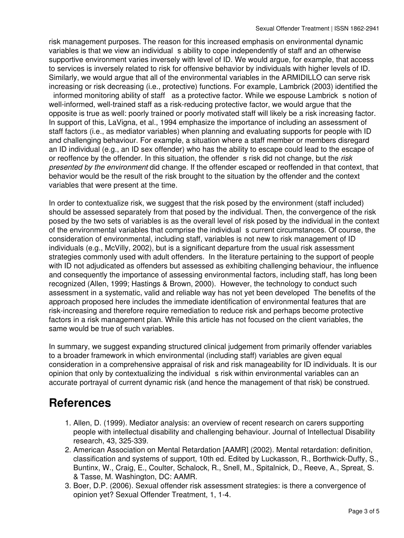risk management purposes. The reason for this increased emphasis on environmental dynamic variables is that we view an individual s ability to cope independently of staff and an otherwise supportive environment varies inversely with level of ID. We would argue, for example, that access to services is inversely related to risk for offensive behavior by individuals with higher levels of ID. Similarly, we would argue that all of the environmental variables in the ARMIDILLO can serve risk increasing or risk decreasing (i.e., protective) functions. For example, Lambrick (2003) identified the informed monitoring ability of staff as a protective factor. While we espouse Lambrick s notion of well-informed, well-trained staff as a risk-reducing protective factor, we would argue that the opposite is true as well: poorly trained or poorly motivated staff will likely be a risk increasing factor. In support of this, LaVigna, et al., 1994 emphasize the importance of including an assessment of staff factors (i.e., as mediator variables) when planning and evaluating supports for people with ID and challenging behaviour. For example, a situation where a staff member or members disregard an ID individual (e.g., an ID sex offender) who has the ability to escape could lead to the escape of or reoffence by the offender. In this situation, the offender s risk did not change, but the *risk presented by the environment* did change. If the offender escaped or reoffended in that context, that behavior would be the result of the risk brought to the situation by the offender and the context variables that were present at the time.

In order to contextualize risk, we suggest that the risk posed by the environment (staff included) should be assessed separately from that posed by the individual. Then, the convergence of the risk posed by the two sets of variables is as the overall level of risk posed by the individual in the context of the environmental variables that comprise the individuals current circumstances. Of course, the consideration of environmental, including staff, variables is not new to risk management of ID individuals (e.g., McVilly, 2002), but is a significant departure from the usual risk assessment strategies commonly used with adult offenders. In the literature pertaining to the support of people with ID not adjudicated as offenders but assessed as exhibiting challenging behaviour, the influence and consequently the importance of assessing environmental factors, including staff, has long been recognized (Allen, 1999; Hastings & Brown, 2000). However, the technology to conduct such assessment in a systematic, valid and reliable way has not yet been developed The benefits of the approach proposed here includes the immediate identification of environmental features that are risk-increasing and therefore require remediation to reduce risk and perhaps become protective factors in a risk management plan. While this article has not focused on the client variables, the same would be true of such variables.

In summary, we suggest expanding structured clinical judgement from primarily offender variables to a broader framework in which environmental (including staff) variables are given equal consideration in a comprehensive appraisal of risk and risk manageability for ID individuals. It is our opinion that only by contextualizing the individual s risk within environmental variables can an accurate portrayal of current dynamic risk (and hence the management of that risk) be construed.

## **References**

- 1. Allen, D. (1999). Mediator analysis: an overview of recent research on carers supporting people with intellectual disability and challenging behaviour. Journal of Intellectual Disability research, 43, 325-339.
- 2. American Association on Mental Retardation [AAMR] (2002). Mental retardation: definition, classification and systems of support, 10th ed. Edited by Luckasson, R., Borthwick-Duffy, S., Buntinx, W., Craig, E., Coulter, Schalock, R., Snell, M., Spitalnick, D., Reeve, A., Spreat, S. & Tasse, M. Washington, DC: AAMR.
- 3. Boer, D.P. (2006). Sexual offender risk assessment strategies: is there a convergence of opinion yet? Sexual Offender Treatment, 1, 1-4.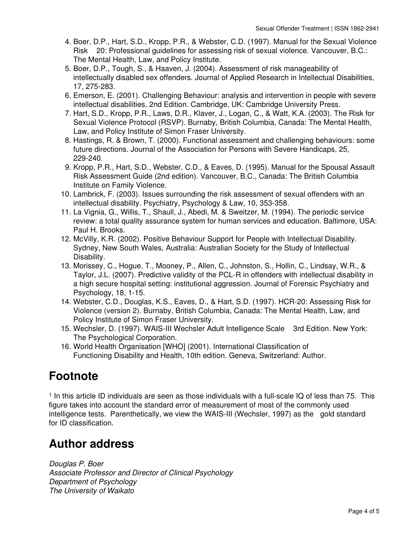- 4. Boer, D.P., Hart, S.D., Kropp, P.R., & Webster, C.D. (1997). Manual for the Sexual Violence Risk 20: Professional guidelines for assessing risk of sexual violence. Vancouver, B.C.: The Mental Health, Law, and Policy Institute.
- 5. Boer, D.P., Tough, S., & Haaven, J. (2004). Assessment of risk manageability of intellectually disabled sex offenders. Journal of Applied Research in Intellectual Disabilities, 17, 275-283.
- 6. Emerson, E. (2001). Challenging Behaviour: analysis and intervention in people with severe intellectual disabilities, 2nd Edition. Cambridge, UK: Cambridge University Press.
- 7. Hart, S.D., Kropp, P.R., Laws, D.R., Klaver, J., Logan, C., & Watt, K.A. (2003). The Risk for Sexual Violence Protocol (RSVP). Burnaby, British Columbia, Canada: The Mental Health, Law, and Policy Institute of Simon Fraser University.
- 8. Hastings, R. & Brown, T. (2000). Functional assessment and challenging behaviours: some future directions. Journal of the Association for Persons with Severe Handicaps, 25, 229-240.
- 9. Kropp, P.R., Hart, S.D., Webster, C.D., & Eaves, D. (1995). Manual for the Spousal Assault Risk Assessment Guide (2nd edition). Vancouver, B.C., Canada: The British Columbia Institute on Family Violence.
- 10. Lambrick, F. (2003). Issues surrounding the risk assessment of sexual offenders with an intellectual disability. Psychiatry, Psychology & Law, 10, 353-358.
- 11. La Vignia, G., Willis, T., Shaull, J., Abedi, M. & Sweitzer, M. (1994). The periodic service review: a total quality assurance system for human services and education. Baltimore, USA: Paul H. Brooks.
- 12. McVilly, K.R. (2002). Positive Behaviour Support for People with Intellectual Disability. Sydney, New South Wales, Australia: Australian Society for the Study of Intellectual Disability.
- 13. Morissey, C., Hogue, T., Mooney, P., Allen, C., Johnston, S., Hollin, C., Lindsay, W.R., & Taylor, J.L. (2007). Predictive validity of the PCL-R in offenders with intellectual disability in a high secure hospital setting: institutional aggression. Journal of Forensic Psychiatry and Psychology, 18, 1-15.
- 14. Webster, C.D., Douglas, K.S., Eaves, D., & Hart, S.D. (1997). HCR-20: Assessing Risk for Violence (version 2). Burnaby, British Columbia, Canada: The Mental Health, Law, and Policy Institute of Simon Fraser University.
- 15. Wechsler, D. (1997). WAIS-III Wechsler Adult Intelligence Scale 3rd Edition. New York: The Psychological Corporation.
- 16. World Health Organisation [WHO] (2001). International Classification of Functioning Disability and Health, 10th edition. Geneva, Switzerland: Author.

## **Footnote**

<sup>1</sup> In this article ID individuals are seen as those individuals with a full-scale IQ of less than 75. This figure takes into account the standard error of measurement of most of the commonly used intelligence tests. Parenthetically, we view the WAIS-III (Wechsler, 1997) as the gold standard for ID classification.

## **Author address**

*Douglas P. Boer Associate Professor and Director of Clinical Psychology Department of Psychology The University of Waikato*